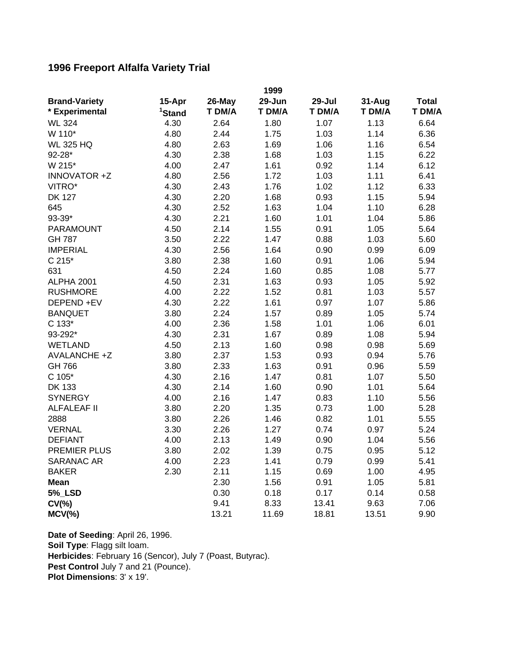## **1996 Freeport Alfalfa Variety Trial**

|                      | 1999               |        |        |        |        |              |
|----------------------|--------------------|--------|--------|--------|--------|--------------|
| <b>Brand-Variety</b> | 15-Apr             | 26-May | 29-Jun | 29-Jul | 31-Aug | <b>Total</b> |
| * Experimental       | <sup>1</sup> Stand | T DM/A | T DM/A | T DM/A | T DM/A | T DM/A       |
| <b>WL 324</b>        | 4.30               | 2.64   | 1.80   | 1.07   | 1.13   | 6.64         |
| W 110*               | 4.80               | 2.44   | 1.75   | 1.03   | 1.14   | 6.36         |
| <b>WL 325 HQ</b>     | 4.80               | 2.63   | 1.69   | 1.06   | 1.16   | 6.54         |
| 92-28*               | 4.30               | 2.38   | 1.68   | 1.03   | 1.15   | 6.22         |
| W 215*               | 4.00               | 2.47   | 1.61   | 0.92   | 1.14   | 6.12         |
| INNOVATOR +Z         | 4.80               | 2.56   | 1.72   | 1.03   | 1.11   | 6.41         |
| VITRO*               | 4.30               | 2.43   | 1.76   | 1.02   | 1.12   | 6.33         |
| <b>DK 127</b>        | 4.30               | 2.20   | 1.68   | 0.93   | 1.15   | 5.94         |
| 645                  | 4.30               | 2.52   | 1.63   | 1.04   | 1.10   | 6.28         |
| 93-39*               | 4.30               | 2.21   | 1.60   | 1.01   | 1.04   | 5.86         |
| <b>PARAMOUNT</b>     | 4.50               | 2.14   | 1.55   | 0.91   | 1.05   | 5.64         |
| <b>GH 787</b>        | 3.50               | 2.22   | 1.47   | 0.88   | 1.03   | 5.60         |
| <b>IMPERIAL</b>      | 4.30               | 2.56   | 1.64   | 0.90   | 0.99   | 6.09         |
| $C 215*$             | 3.80               | 2.38   | 1.60   | 0.91   | 1.06   | 5.94         |
| 631                  | 4.50               | 2.24   | 1.60   | 0.85   | 1.08   | 5.77         |
| ALPHA 2001           | 4.50               | 2.31   | 1.63   | 0.93   | 1.05   | 5.92         |
| <b>RUSHMORE</b>      | 4.00               | 2.22   | 1.52   | 0.81   | 1.03   | 5.57         |
| DEPEND +EV           | 4.30               | 2.22   | 1.61   | 0.97   | 1.07   | 5.86         |
| <b>BANQUET</b>       | 3.80               | 2.24   | 1.57   | 0.89   | 1.05   | 5.74         |
| C 133*               | 4.00               | 2.36   | 1.58   | 1.01   | 1.06   | 6.01         |
| 93-292*              | 4.30               | 2.31   | 1.67   | 0.89   | 1.08   | 5.94         |
| <b>WETLAND</b>       | 4.50               | 2.13   | 1.60   | 0.98   | 0.98   | 5.69         |
| AVALANCHE +Z         | 3.80               | 2.37   | 1.53   | 0.93   | 0.94   | 5.76         |
| GH 766               | 3.80               | 2.33   | 1.63   | 0.91   | 0.96   | 5.59         |
| $C 105*$             | 4.30               | 2.16   | 1.47   | 0.81   | 1.07   | 5.50         |
| DK 133               | 4.30               | 2.14   | 1.60   | 0.90   | 1.01   | 5.64         |
| <b>SYNERGY</b>       | 4.00               | 2.16   | 1.47   | 0.83   | 1.10   | 5.56         |
| <b>ALFALEAF II</b>   | 3.80               | 2.20   | 1.35   | 0.73   | 1.00   | 5.28         |
| 2888                 | 3.80               | 2.26   | 1.46   | 0.82   | 1.01   | 5.55         |
| <b>VERNAL</b>        | 3.30               | 2.26   | 1.27   | 0.74   | 0.97   | 5.24         |
| <b>DEFIANT</b>       | 4.00               | 2.13   | 1.49   | 0.90   | 1.04   | 5.56         |
| <b>PREMIER PLUS</b>  | 3.80               | 2.02   | 1.39   | 0.75   | 0.95   | 5.12         |
| <b>SARANAC AR</b>    | 4.00               | 2.23   | 1.41   | 0.79   | 0.99   | 5.41         |
| <b>BAKER</b>         | 2.30               | 2.11   | 1.15   | 0.69   | 1.00   | 4.95         |
| <b>Mean</b>          |                    | 2.30   | 1.56   | 0.91   | 1.05   | 5.81         |
| <b>5% LSD</b>        |                    | 0.30   | 0.18   | 0.17   | 0.14   | 0.58         |
| $CV(\% )$            |                    | 9.41   | 8.33   | 13.41  | 9.63   | 7.06         |
| $MCV(\%)$            |                    | 13.21  | 11.69  | 18.81  | 13.51  | 9.90         |

**Pest Control** July 7 and 21 (Pounce). **Plot Dimensions**: 3' x 19'. **Date of Seeding**: April 26, 1996. **Soil Type**: Flagg silt loam. **Herbicides**: February 16 (Sencor), July 7 (Poast, Butyrac).